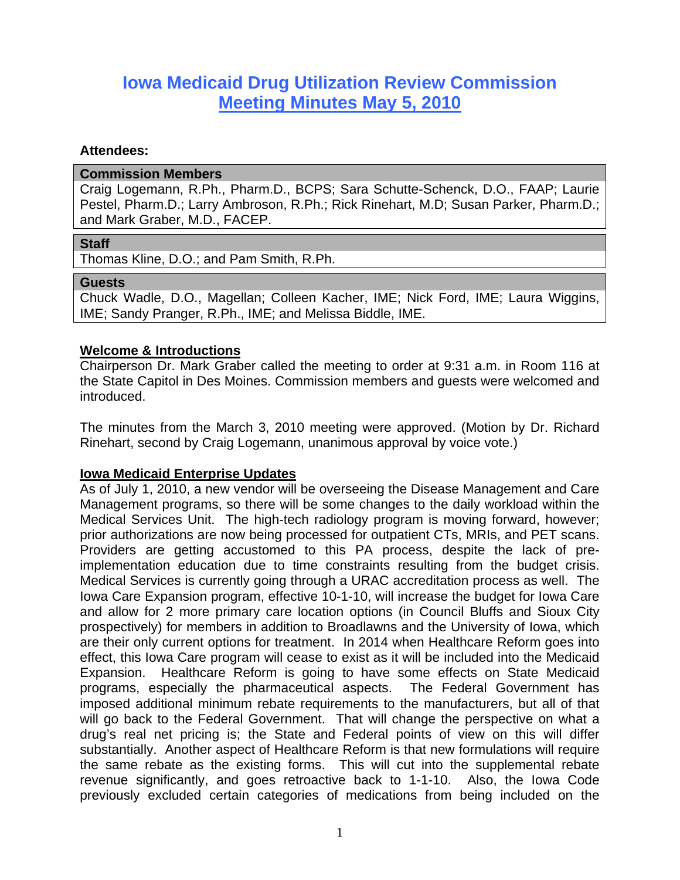# **Iowa Medicaid Drug Utilization Review Commission Meeting Minutes May 5, 2010**

#### **Attendees:**

#### **Commission Members**

Craig Logemann, R.Ph., Pharm.D., BCPS; Sara Schutte-Schenck, D.O., FAAP; Laurie Pestel, Pharm.D.; Larry Ambroson, R.Ph.; Rick Rinehart, M.D; Susan Parker, Pharm.D.; and Mark Graber, M.D., FACEP.

#### **Staff**

Thomas Kline, D.O.; and Pam Smith, R.Ph.

#### **Guests**

Chuck Wadle, D.O., Magellan; Colleen Kacher, IME; Nick Ford, IME; Laura Wiggins, IME; Sandy Pranger, R.Ph., IME; and Melissa Biddle, IME.

## **Welcome & Introductions**

Chairperson Dr. Mark Graber called the meeting to order at 9:31 a.m. in Room 116 at the State Capitol in Des Moines. Commission members and guests were welcomed and introduced.

The minutes from the March 3, 2010 meeting were approved. (Motion by Dr. Richard Rinehart, second by Craig Logemann, unanimous approval by voice vote.)

## **Iowa Medicaid Enterprise Updates**

As of July 1, 2010, a new vendor will be overseeing the Disease Management and Care Management programs, so there will be some changes to the daily workload within the Medical Services Unit. The high-tech radiology program is moving forward, however; prior authorizations are now being processed for outpatient CTs, MRIs, and PET scans. Providers are getting accustomed to this PA process, despite the lack of preimplementation education due to time constraints resulting from the budget crisis. Medical Services is currently going through a URAC accreditation process as well. The Iowa Care Expansion program, effective 10-1-10, will increase the budget for Iowa Care and allow for 2 more primary care location options (in Council Bluffs and Sioux City prospectively) for members in addition to Broadlawns and the University of Iowa, which are their only current options for treatment. In 2014 when Healthcare Reform goes into effect, this Iowa Care program will cease to exist as it will be included into the Medicaid Expansion. Healthcare Reform is going to have some effects on State Medicaid programs, especially the pharmaceutical aspects. The Federal Government has imposed additional minimum rebate requirements to the manufacturers, but all of that will go back to the Federal Government. That will change the perspective on what a drug's real net pricing is; the State and Federal points of view on this will differ substantially. Another aspect of Healthcare Reform is that new formulations will require the same rebate as the existing forms. This will cut into the supplemental rebate revenue significantly, and goes retroactive back to 1-1-10. Also, the Iowa Code previously excluded certain categories of medications from being included on the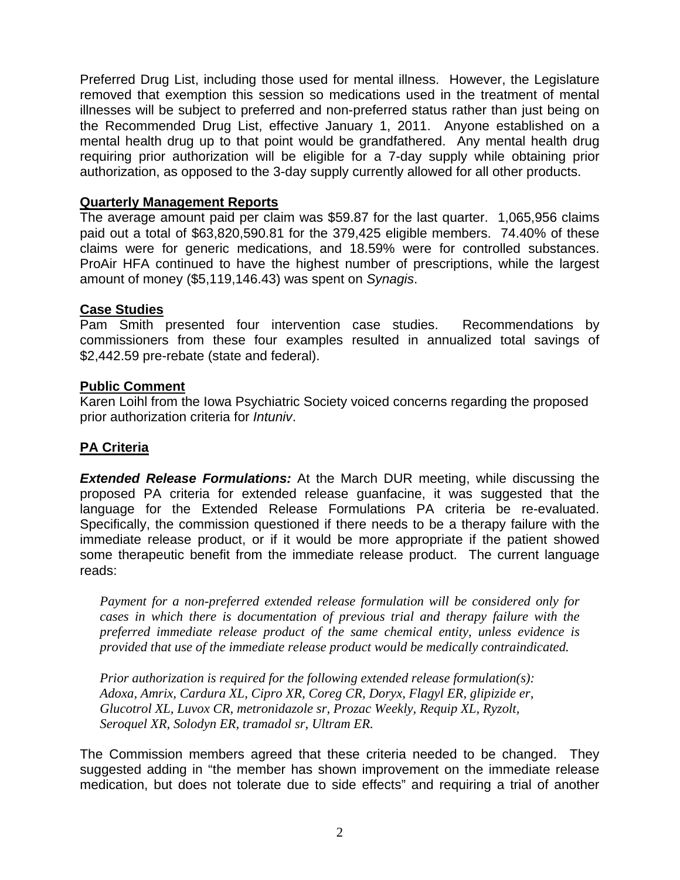Preferred Drug List, including those used for mental illness. However, the Legislature removed that exemption this session so medications used in the treatment of mental illnesses will be subject to preferred and non-preferred status rather than just being on the Recommended Drug List, effective January 1, 2011. Anyone established on a mental health drug up to that point would be grandfathered. Any mental health drug requiring prior authorization will be eligible for a 7-day supply while obtaining prior authorization, as opposed to the 3-day supply currently allowed for all other products.

## **Quarterly Management Reports**

The average amount paid per claim was \$59.87 for the last quarter. 1,065,956 claims paid out a total of \$63,820,590.81 for the 379,425 eligible members. 74.40% of these claims were for generic medications, and 18.59% were for controlled substances. ProAir HFA continued to have the highest number of prescriptions, while the largest amount of money (\$5,119,146.43) was spent on *Synagis*.

## **Case Studies**

Pam Smith presented four intervention case studies. Recommendations by commissioners from these four examples resulted in annualized total savings of \$2,442.59 pre-rebate (state and federal).

## **Public Comment**

Karen Loihl from the Iowa Psychiatric Society voiced concerns regarding the proposed prior authorization criteria for *Intuniv*.

## **PA Criteria**

*Extended Release Formulations:* At the March DUR meeting, while discussing the proposed PA criteria for extended release guanfacine, it was suggested that the language for the Extended Release Formulations PA criteria be re-evaluated. Specifically, the commission questioned if there needs to be a therapy failure with the immediate release product, or if it would be more appropriate if the patient showed some therapeutic benefit from the immediate release product. The current language reads:

*Payment for a non-preferred extended release formulation will be considered only for cases in which there is documentation of previous trial and therapy failure with the preferred immediate release product of the same chemical entity, unless evidence is provided that use of the immediate release product would be medically contraindicated.* 

*Prior authorization is required for the following extended release formulation(s): Adoxa, Amrix, Cardura XL, Cipro XR, Coreg CR, Doryx, Flagyl ER, glipizide er, Glucotrol XL, Luvox CR, metronidazole sr, Prozac Weekly, Requip XL, Ryzolt, Seroquel XR, Solodyn ER, tramadol sr, Ultram ER.* 

The Commission members agreed that these criteria needed to be changed. They suggested adding in "the member has shown improvement on the immediate release medication, but does not tolerate due to side effects" and requiring a trial of another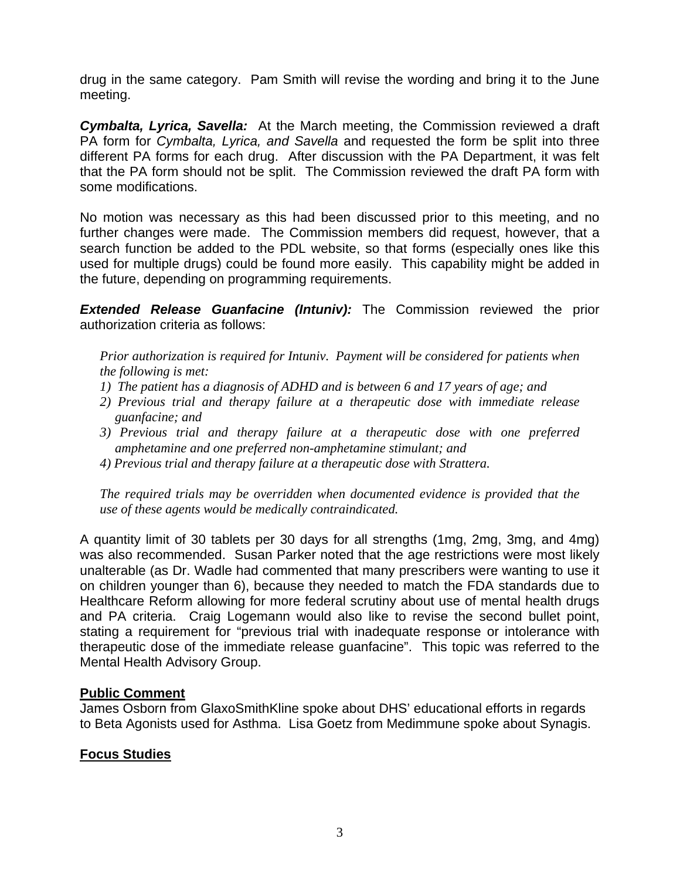drug in the same category. Pam Smith will revise the wording and bring it to the June meeting.

*Cymbalta, Lyrica, Savella:* At the March meeting, the Commission reviewed a draft PA form for *Cymbalta, Lyrica, and Savella* and requested the form be split into three different PA forms for each drug. After discussion with the PA Department, it was felt that the PA form should not be split. The Commission reviewed the draft PA form with some modifications.

No motion was necessary as this had been discussed prior to this meeting, and no further changes were made. The Commission members did request, however, that a search function be added to the PDL website, so that forms (especially ones like this used for multiple drugs) could be found more easily. This capability might be added in the future, depending on programming requirements.

**Extended Release Guanfacine (Intuniv):** The Commission reviewed the prior authorization criteria as follows:

*Prior authorization is required for Intuniv. Payment will be considered for patients when the following is met:* 

- *1) The patient has a diagnosis of ADHD and is between 6 and 17 years of age; and*
- *2) Previous trial and therapy failure at a therapeutic dose with immediate release guanfacine; and*
- *3) Previous trial and therapy failure at a therapeutic dose with one preferred amphetamine and one preferred non-amphetamine stimulant; and*
- *4) Previous trial and therapy failure at a therapeutic dose with Strattera.*

*The required trials may be overridden when documented evidence is provided that the use of these agents would be medically contraindicated.* 

A quantity limit of 30 tablets per 30 days for all strengths (1mg, 2mg, 3mg, and 4mg) was also recommended. Susan Parker noted that the age restrictions were most likely unalterable (as Dr. Wadle had commented that many prescribers were wanting to use it on children younger than 6), because they needed to match the FDA standards due to Healthcare Reform allowing for more federal scrutiny about use of mental health drugs and PA criteria. Craig Logemann would also like to revise the second bullet point, stating a requirement for "previous trial with inadequate response or intolerance with therapeutic dose of the immediate release guanfacine". This topic was referred to the Mental Health Advisory Group.

## **Public Comment**

James Osborn from GlaxoSmithKline spoke about DHS' educational efforts in regards to Beta Agonists used for Asthma. Lisa Goetz from Medimmune spoke about Synagis.

## **Focus Studies**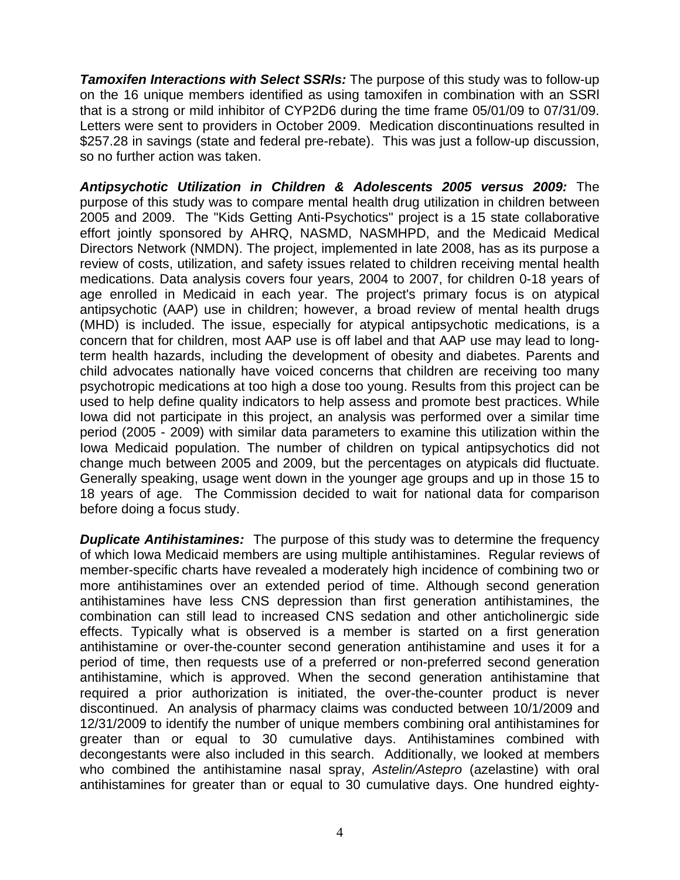*Tamoxifen Interactions with Select SSRIs:* The purpose of this study was to follow-up on the 16 unique members identified as using tamoxifen in combination with an SSRl that is a strong or mild inhibitor of CYP2D6 during the time frame 05/01/09 to 07/31/09. Letters were sent to providers in October 2009. Medication discontinuations resulted in \$257.28 in savings (state and federal pre-rebate). This was just a follow-up discussion, so no further action was taken.

*Antipsychotic Utilization in Children & Adolescents 2005 versus 2009:* The purpose of this study was to compare mental health drug utilization in children between 2005 and 2009. The "Kids Getting Anti-Psychotics" project is a 15 state collaborative effort jointly sponsored by AHRQ, NASMD, NASMHPD, and the Medicaid Medical Directors Network (NMDN). The project, implemented in late 2008, has as its purpose a review of costs, utilization, and safety issues related to children receiving mental health medications. Data analysis covers four years, 2004 to 2007, for children 0-18 years of age enrolled in Medicaid in each year. The project's primary focus is on atypical antipsychotic (AAP) use in children; however, a broad review of mental health drugs (MHD) is included. The issue, especially for atypical antipsychotic medications, is a concern that for children, most AAP use is off label and that AAP use may lead to longterm health hazards, including the development of obesity and diabetes. Parents and child advocates nationally have voiced concerns that children are receiving too many psychotropic medications at too high a dose too young. Results from this project can be used to help define quality indicators to help assess and promote best practices. While Iowa did not participate in this project, an analysis was performed over a similar time period (2005 - 2009) with similar data parameters to examine this utilization within the Iowa Medicaid population. The number of children on typical antipsychotics did not change much between 2005 and 2009, but the percentages on atypicals did fluctuate. Generally speaking, usage went down in the younger age groups and up in those 15 to 18 years of age. The Commission decided to wait for national data for comparison before doing a focus study.

*Duplicate Antihistamines:* The purpose of this study was to determine the frequency of which Iowa Medicaid members are using multiple antihistamines. Regular reviews of member-specific charts have revealed a moderately high incidence of combining two or more antihistamines over an extended period of time. Although second generation antihistamines have less CNS depression than first generation antihistamines, the combination can still lead to increased CNS sedation and other anticholinergic side effects. Typically what is observed is a member is started on a first generation antihistamine or over-the-counter second generation antihistamine and uses it for a period of time, then requests use of a preferred or non-preferred second generation antihistamine, which is approved. When the second generation antihistamine that required a prior authorization is initiated, the over-the-counter product is never discontinued. An analysis of pharmacy claims was conducted between 10/1/2009 and 12/31/2009 to identify the number of unique members combining oral antihistamines for greater than or equal to 30 cumulative days. Antihistamines combined with decongestants were also included in this search. Additionally, we looked at members who combined the antihistamine nasal spray, *Astelin/Astepro* (azelastine) with oral antihistamines for greater than or equal to 30 cumulative days. One hundred eighty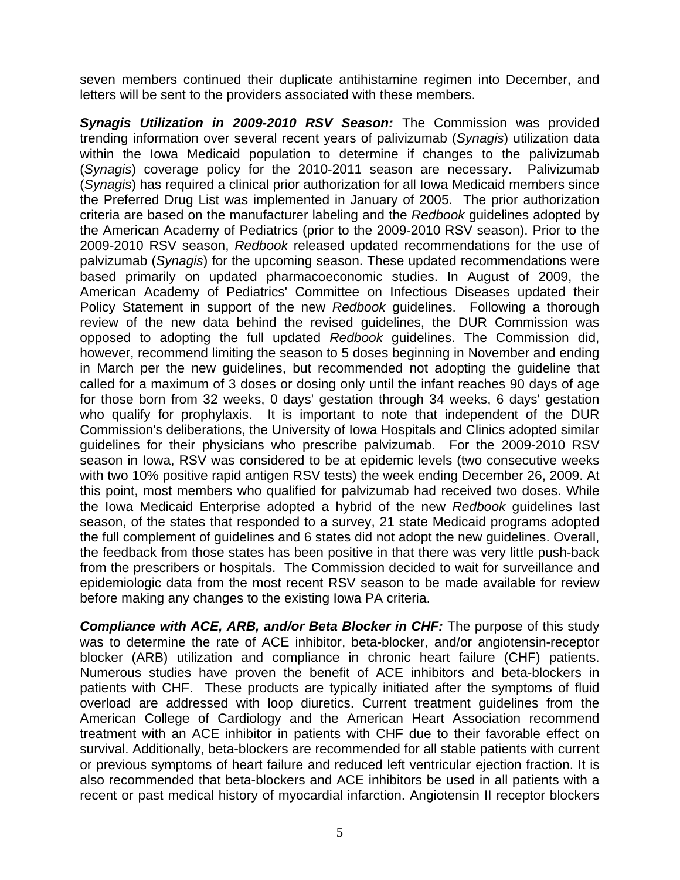seven members continued their duplicate antihistamine regimen into December, and letters will be sent to the providers associated with these members.

*Synagis Utilization in 2009-2010 RSV Season:* The Commission was provided trending information over several recent years of palivizumab (*Synagis*) utilization data within the Iowa Medicaid population to determine if changes to the palivizumab (*Synagis*) coverage policy for the 2010-2011 season are necessary. Palivizumab (*Synagis*) has required a clinical prior authorization for all Iowa Medicaid members since the Preferred Drug List was implemented in January of 2005. The prior authorization criteria are based on the manufacturer labeling and the *Redbook* guidelines adopted by the American Academy of Pediatrics (prior to the 2009-2010 RSV season). Prior to the 2009-2010 RSV season, *Redbook* released updated recommendations for the use of palvizumab (*Synagis*) for the upcoming season. These updated recommendations were based primarily on updated pharmacoeconomic studies. In August of 2009, the American Academy of Pediatrics' Committee on Infectious Diseases updated their Policy Statement in support of the new *Redbook* guidelines. Following a thorough review of the new data behind the revised guidelines, the DUR Commission was opposed to adopting the full updated *Redbook* guidelines. The Commission did, however, recommend limiting the season to 5 doses beginning in November and ending in March per the new guidelines, but recommended not adopting the guideline that called for a maximum of 3 doses or dosing only until the infant reaches 90 days of age for those born from 32 weeks, 0 days' gestation through 34 weeks, 6 days' gestation who qualify for prophylaxis. It is important to note that independent of the DUR Commission's deliberations, the University of Iowa Hospitals and Clinics adopted similar guidelines for their physicians who prescribe palvizumab. For the 2009-2010 RSV season in Iowa, RSV was considered to be at epidemic levels (two consecutive weeks with two 10% positive rapid antigen RSV tests) the week ending December 26, 2009. At this point, most members who qualified for palvizumab had received two doses. While the Iowa Medicaid Enterprise adopted a hybrid of the new *Redbook* guidelines last season, of the states that responded to a survey, 21 state Medicaid programs adopted the full complement of guidelines and 6 states did not adopt the new guidelines. Overall, the feedback from those states has been positive in that there was very little push-back from the prescribers or hospitals. The Commission decided to wait for surveillance and epidemiologic data from the most recent RSV season to be made available for review before making any changes to the existing Iowa PA criteria.

*Compliance with ACE, ARB, and/or Beta Blocker in CHF:* The purpose of this study was to determine the rate of ACE inhibitor, beta-blocker, and/or angiotensin-receptor blocker (ARB) utilization and compliance in chronic heart failure (CHF) patients. Numerous studies have proven the benefit of ACE inhibitors and beta-blockers in patients with CHF. These products are typically initiated after the symptoms of fluid overload are addressed with loop diuretics. Current treatment guidelines from the American College of Cardiology and the American Heart Association recommend treatment with an ACE inhibitor in patients with CHF due to their favorable effect on survival. Additionally, beta-blockers are recommended for all stable patients with current or previous symptoms of heart failure and reduced left ventricular ejection fraction. It is also recommended that beta-blockers and ACE inhibitors be used in all patients with a recent or past medical history of myocardial infarction. Angiotensin II receptor blockers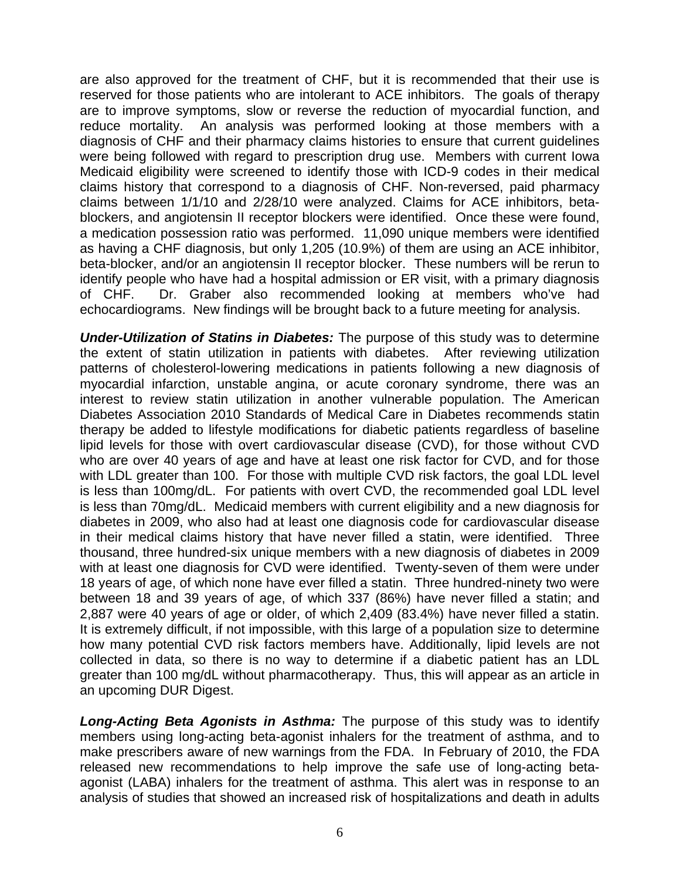are also approved for the treatment of CHF, but it is recommended that their use is reserved for those patients who are intolerant to ACE inhibitors. The goals of therapy are to improve symptoms, slow or reverse the reduction of myocardial function, and reduce mortality. An analysis was performed looking at those members with a diagnosis of CHF and their pharmacy claims histories to ensure that current guidelines were being followed with regard to prescription drug use. Members with current Iowa Medicaid eligibility were screened to identify those with ICD-9 codes in their medical claims history that correspond to a diagnosis of CHF. Non-reversed, paid pharmacy claims between 1/1/10 and 2/28/10 were analyzed. Claims for ACE inhibitors, betablockers, and angiotensin II receptor blockers were identified. Once these were found, a medication possession ratio was performed. 11,090 unique members were identified as having a CHF diagnosis, but only 1,205 (10.9%) of them are using an ACE inhibitor, beta-blocker, and/or an angiotensin II receptor blocker. These numbers will be rerun to identify people who have had a hospital admission or ER visit, with a primary diagnosis of CHF. Dr. Graber also recommended looking at members who've had echocardiograms. New findings will be brought back to a future meeting for analysis.

*Under-Utilization of Statins in Diabetes:* The purpose of this study was to determine the extent of statin utilization in patients with diabetes. After reviewing utilization patterns of cholesterol-lowering medications in patients following a new diagnosis of myocardial infarction, unstable angina, or acute coronary syndrome, there was an interest to review statin utilization in another vulnerable population. The American Diabetes Association 2010 Standards of Medical Care in Diabetes recommends statin therapy be added to lifestyle modifications for diabetic patients regardless of baseline lipid levels for those with overt cardiovascular disease (CVD), for those without CVD who are over 40 years of age and have at least one risk factor for CVD, and for those with LDL greater than 100. For those with multiple CVD risk factors, the goal LDL level is less than 100mg/dL. For patients with overt CVD, the recommended goal LDL level is less than 70mg/dL. Medicaid members with current eligibility and a new diagnosis for diabetes in 2009, who also had at least one diagnosis code for cardiovascular disease in their medical claims history that have never filled a statin, were identified. Three thousand, three hundred-six unique members with a new diagnosis of diabetes in 2009 with at least one diagnosis for CVD were identified. Twenty-seven of them were under 18 years of age, of which none have ever filled a statin. Three hundred-ninety two were between 18 and 39 years of age, of which 337 (86%) have never filled a statin; and 2,887 were 40 years of age or older, of which 2,409 (83.4%) have never filled a statin. It is extremely difficult, if not impossible, with this large of a population size to determine how many potential CVD risk factors members have. Additionally, lipid levels are not collected in data, so there is no way to determine if a diabetic patient has an LDL greater than 100 mg/dL without pharmacotherapy. Thus, this will appear as an article in an upcoming DUR Digest.

*Long-Acting Beta Agonists in Asthma:* The purpose of this study was to identify members using long-acting beta-agonist inhalers for the treatment of asthma, and to make prescribers aware of new warnings from the FDA. In February of 2010, the FDA released new recommendations to help improve the safe use of long-acting betaagonist (LABA) inhalers for the treatment of asthma. This alert was in response to an analysis of studies that showed an increased risk of hospitalizations and death in adults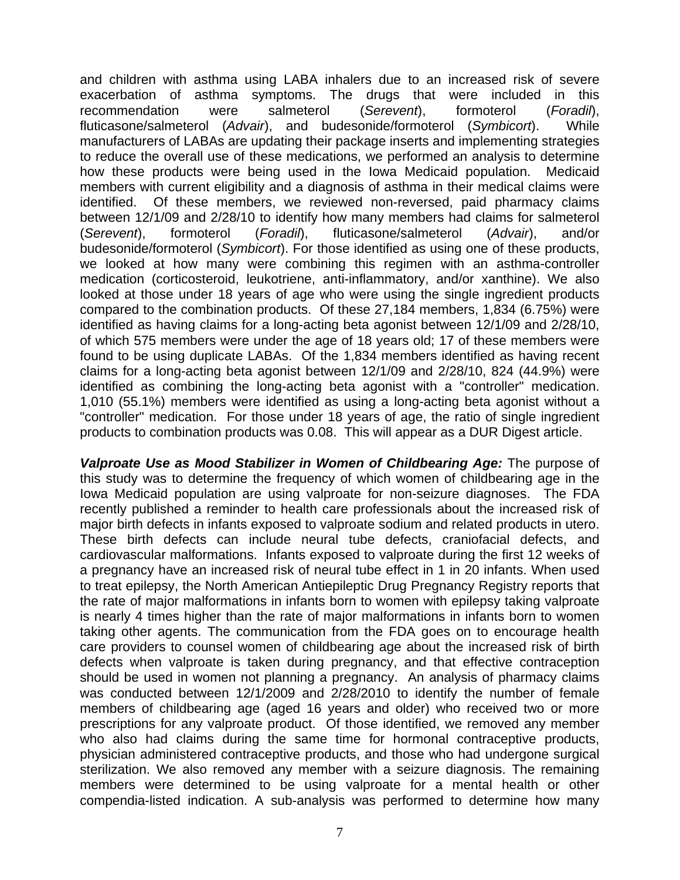and children with asthma using LABA inhalers due to an increased risk of severe exacerbation of asthma symptoms. The drugs that were included in this recommendation were salmeterol (*Serevent*), formoterol (*Foradil*), fluticasone/salmeterol (*Advair*), and budesonide/formoterol (*Symbicort*). While manufacturers of LABAs are updating their package inserts and implementing strategies to reduce the overall use of these medications, we performed an analysis to determine how these products were being used in the Iowa Medicaid population. Medicaid members with current eligibility and a diagnosis of asthma in their medical claims were identified. Of these members, we reviewed non-reversed, paid pharmacy claims between 12/1/09 and 2/28/10 to identify how many members had claims for salmeterol (*Serevent*), formoterol (*Foradil*), fluticasone/salmeterol (*Advair*), and/or budesonide/formoterol (*Symbicort*). For those identified as using one of these products, we looked at how many were combining this regimen with an asthma-controller medication (corticosteroid, leukotriene, anti-inflammatory, and/or xanthine). We also looked at those under 18 years of age who were using the single ingredient products compared to the combination products. Of these 27,184 members, 1,834 (6.75%) were identified as having claims for a long-acting beta agonist between 12/1/09 and 2/28/10, of which 575 members were under the age of 18 years old; 17 of these members were found to be using duplicate LABAs. Of the 1,834 members identified as having recent claims for a long-acting beta agonist between 12/1/09 and 2/28/10, 824 (44.9%) were identified as combining the long-acting beta agonist with a "controller" medication. 1,010 (55.1%) members were identified as using a long-acting beta agonist without a "controller" medication. For those under 18 years of age, the ratio of single ingredient products to combination products was 0.08. This will appear as a DUR Digest article.

*Valproate Use as Mood Stabilizer in Women of Childbearing Age:* The purpose of this study was to determine the frequency of which women of childbearing age in the Iowa Medicaid population are using valproate for non-seizure diagnoses. The FDA recently published a reminder to health care professionals about the increased risk of major birth defects in infants exposed to valproate sodium and related products in utero. These birth defects can include neural tube defects, craniofacial defects, and cardiovascular malformations. Infants exposed to valproate during the first 12 weeks of a pregnancy have an increased risk of neural tube effect in 1 in 20 infants. When used to treat epilepsy, the North American Antiepileptic Drug Pregnancy Registry reports that the rate of major malformations in infants born to women with epilepsy taking valproate is nearly 4 times higher than the rate of major malformations in infants born to women taking other agents. The communication from the FDA goes on to encourage health care providers to counsel women of childbearing age about the increased risk of birth defects when valproate is taken during pregnancy, and that effective contraception should be used in women not planning a pregnancy. An analysis of pharmacy claims was conducted between 12/1/2009 and 2/28/2010 to identify the number of female members of childbearing age (aged 16 years and older) who received two or more prescriptions for any valproate product. Of those identified, we removed any member who also had claims during the same time for hormonal contraceptive products, physician administered contraceptive products, and those who had undergone surgical sterilization. We also removed any member with a seizure diagnosis. The remaining members were determined to be using valproate for a mental health or other compendia-listed indication. A sub-analysis was performed to determine how many